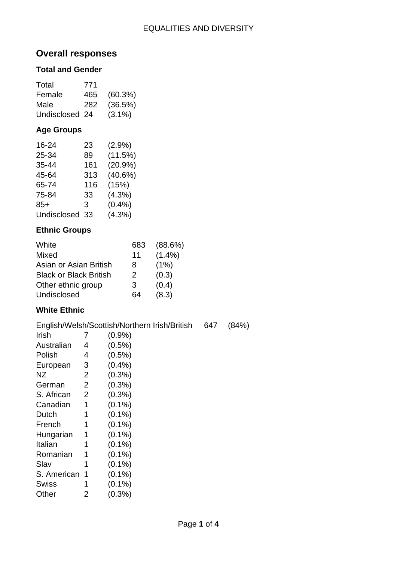# **Overall responses**

### **Total and Gender**

| Total          | 771 |           |
|----------------|-----|-----------|
| Female         | 465 | (60.3%)   |
| Male           | 282 | (36.5%)   |
| Undisclosed 24 |     | $(3.1\%)$ |

# **Age Groups**

| 16-24       | 23  | $(2.9\%)$  |
|-------------|-----|------------|
| 25-34       | 89  | (11.5%)    |
| 35-44       | 161 | $(20.9\%)$ |
| 45-64       | 313 | (40.6%)    |
| 65-74       | 116 | (15%)      |
| 75-84       | 33  | $(4.3\%)$  |
| $85+$       | 3   | $(0.4\%)$  |
| Undisclosed | 33  | $(4.3\%)$  |

### **Ethnic Groups**

| White                         | 683 | (88.6%)   |
|-------------------------------|-----|-----------|
| Mixed                         | 11  | $(1.4\%)$ |
| Asian or Asian British        | 8   | (1%)      |
| <b>Black or Black British</b> | 2   | (0.3)     |
| Other ethnic group            | 3   | (0.4)     |
| Undisclosed                   | 64  | (8.3)     |

### **White Ethnic**

|             |   | English/Welsh/Scottish/Northern Irish/British | 647 | (84%) |
|-------------|---|-----------------------------------------------|-----|-------|
| Irish       |   | $(0.9\%)$                                     |     |       |
| Australian  | 4 | $(0.5\%)$                                     |     |       |
| Polish      | 4 | $(0.5\%)$                                     |     |       |
| European    | 3 | (0.4% )                                       |     |       |
| NZ          | 2 | $(0.3\%)$                                     |     |       |
| German      | 2 | $(0.3\%)$                                     |     |       |
| S. African  | 2 | $(0.3\%)$                                     |     |       |
| Canadian    | 1 | $(0.1\%)$                                     |     |       |
| Dutch       |   | $(0.1\%)$                                     |     |       |
| French      | 1 | $(0.1\%)$                                     |     |       |
| Hungarian   | 1 | $(0.1\%)$                                     |     |       |
| Italian     | 1 | $(0.1\%)$                                     |     |       |
| Romanian    | 1 | $(0.1\%)$                                     |     |       |
| Slav        | 1 | $(0.1\%)$                                     |     |       |
| S. American | 1 | $(0.1\%)$                                     |     |       |
| Swiss       |   | $(0.1\%)$                                     |     |       |
| Other       | 2 | (0.3%)                                        |     |       |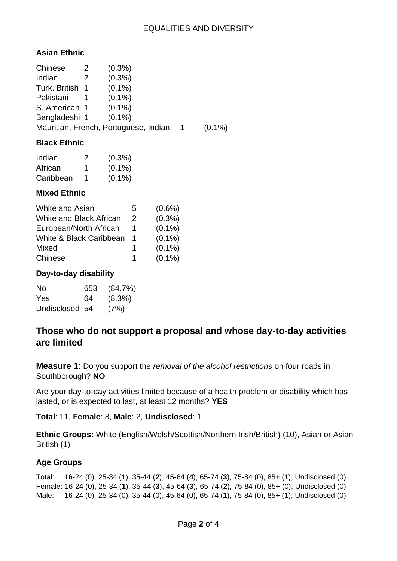### **Asian Ethnic**

| Chinese         | <sup>2</sup>         | $(0.3\%)$                              |           |
|-----------------|----------------------|----------------------------------------|-----------|
| Indian          | $\mathbf{2}^{\circ}$ | $(0.3\%)$                              |           |
| Turk. British 1 |                      | $(0.1\%)$                              |           |
| Pakistani       |                      | $(0.1\%)$                              |           |
| S. American 1   |                      | $(0.1\%)$                              |           |
| Bangladeshi 1   |                      | $(0.1\%)$                              |           |
|                 |                      | Mauritian, French, Portuguese, Indian. | $(0.1\%)$ |

### **Black Ethnic**

| Indian    | 2 | $(0.3\%)$ |
|-----------|---|-----------|
| African   | 1 | $(0.1\%)$ |
| Caribbean | 1 | $(0.1\%)$ |

#### **Mixed Ethnic**

| White and Asian                | 5             | $(0.6\%)$ |
|--------------------------------|---------------|-----------|
| <b>White and Black African</b> | $\mathcal{P}$ | (0.3% )   |
| European/North African         |               | $(0.1\%)$ |
| White & Black Caribbean        | 1             | $(0.1\%)$ |
| Mixed                          | 1             | $(0.1\%)$ |
| Chinese                        | 1             | $(0.1\%)$ |

#### **Day-to-day disability**

| Nο             | 653 | (84.7%)   |
|----------------|-----|-----------|
| <b>Yes</b>     | 64  | $(8.3\%)$ |
| Undisclosed 54 |     | (7%)      |

# **Those who do not support a proposal and whose day-to-day activities are limited**

**Measure 1**: Do you support the *removal of the alcohol restrictions* on four roads in Southborough? **NO**

Are your day-to-day activities limited because of a health problem or disability which has lasted, or is expected to last, at least 12 months? **YES**

**Total**: 11, **Female**: 8, **Male**: 2, **Undisclosed**: 1

**Ethnic Groups:** White (English/Welsh/Scottish/Northern Irish/British) (10), Asian or Asian British (1)

### **Age Groups**

Total: 16-24 (0), 25-34 (**1**), 35-44 (**2**), 45-64 (**4**), 65-74 (**3**), 75-84 (0), 85+ (**1**), Undisclosed (0) Female: 16-24 (0), 25-34 (**1**), 35-44 (**3**), 45-64 (**3**), 65-74 (**2**), 75-84 (0), 85+ (0), Undisclosed (0) Male: 16-24 (0), 25-34 (0), 35-44 (0), 45-64 (0), 65-74 (**1**), 75-84 (0), 85+ (**1**), Undisclosed (0)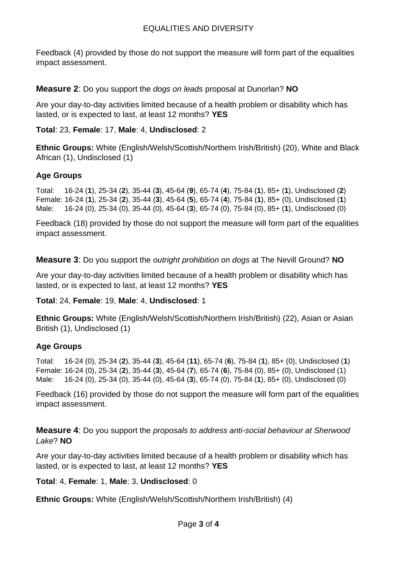Feedback (4) provided by those do not support the measure will form part of the equalities impact assessment.

**Measure 2**: Do you support the *dogs on leads* proposal at Dunorlan? **NO**

Are your day-to-day activities limited because of a health problem or disability which has lasted, or is expected to last, at least 12 months? **YES**

**Total**: 23, **Female**: 17, **Male**: 4, **Undisclosed**: 2

**Ethnic Groups:** White (English/Welsh/Scottish/Northern Irish/British) (20), White and Black African (1), Undisclosed (1)

# **Age Groups**

Total: 16-24 (**1**), 25-34 (**2**), 35-44 (**3**), 45-64 (**9**), 65-74 (**4**), 75-84 (**1**), 85+ (**1**), Undisclosed (**2**) Female: 16-24 (**1**), 25-34 (**2**), 35-44 (**3**), 45-64 (**5**), 65-74 (**4**), 75-84 (**1**), 85+ (0), Undisclosed (**1**) Male: 16-24 (0), 25-34 (0), 35-44 (0), 45-64 (**3**), 65-74 (0), 75-84 (0), 85+ (**1**), Undisclosed (0)

Feedback (18) provided by those do not support the measure will form part of the equalities impact assessment.

**Measure 3**: Do you support the *outright prohibition on dogs* at The Nevill Ground? **NO**

Are your day-to-day activities limited because of a health problem or disability which has lasted, or is expected to last, at least 12 months? **YES**

**Total**: 24, **Female**: 19, **Male**: 4, **Undisclosed**: 1

**Ethnic Groups:** White (English/Welsh/Scottish/Northern Irish/British) (22), Asian or Asian British (1), Undisclosed (1)

# **Age Groups**

Total: 16-24 (0), 25-34 (**2**), 35-44 (**3**), 45-64 (**11**), 65-74 (**6**), 75-84 (**1**), 85+ (0), Undisclosed (**1**) Female: 16-24 (0), 25-34 (**2**), 35-44 (**3**), 45-64 (**7**), 65-74 (**6**), 75-84 (0), 85+ (0), Undisclosed (1) Male: 16-24 (0), 25-34 (0), 35-44 (0), 45-64 (**3**), 65-74 (0), 75-84 (**1**), 85+ (0), Undisclosed (0)

Feedback (16) provided by those do not support the measure will form part of the equalities impact assessment.

**Measure 4**: Do you support the *proposals to address anti-social behaviour at Sherwood Lake*? **NO**

Are your day-to-day activities limited because of a health problem or disability which has lasted, or is expected to last, at least 12 months? **YES**

**Total**: 4, **Female**: 1, **Male**: 3, **Undisclosed**: 0

**Ethnic Groups:** White (English/Welsh/Scottish/Northern Irish/British) (4)